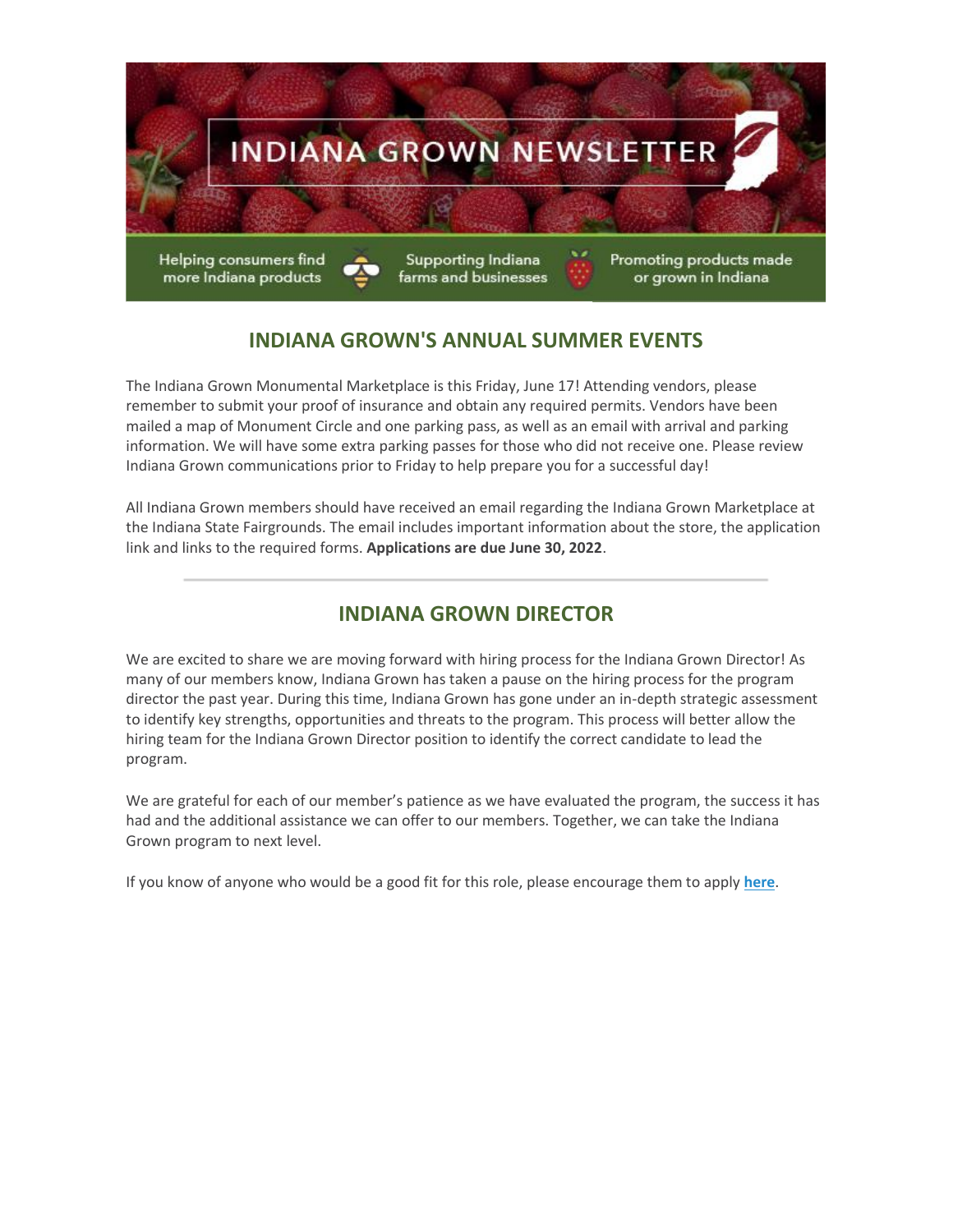

# **INDIANA GROWN'S ANNUAL SUMMER EVENTS**

The Indiana Grown Monumental Marketplace is this Friday, June 17! Attending vendors, please remember to submit your proof of insurance and obtain any required permits. Vendors have been mailed a map of Monument Circle and one parking pass, as well as an email with arrival and parking information. We will have some extra parking passes for those who did not receive one. Please review Indiana Grown communications prior to Friday to help prepare you for a successful day!

All Indiana Grown members should have received an email regarding the Indiana Grown Marketplace at the Indiana State Fairgrounds. The email includes important information about the store, the application link and links to the required forms. **Applications are due June 30, 2022**.

### **INDIANA GROWN DIRECTOR**

We are excited to share we are moving forward with hiring process for the Indiana Grown Director! As many of our members know, Indiana Grown has taken a pause on the hiring process for the program director the past year. During this time, Indiana Grown has gone under an in-depth strategic assessment to identify key strengths, opportunities and threats to the program. This process will better allow the hiring team for the Indiana Grown Director position to identify the correct candidate to lead the program.

We are grateful for each of our member's patience as we have evaluated the program, the success it has had and the additional assistance we can offer to our members. Together, we can take the Indiana Grown program to next level.

If you know of anyone who would be a good fit for this role, please encourage them to apply **[here](https://lnks.gd/l/eyJhbGciOiJIUzI1NiJ9.eyJidWxsZXRpbl9saW5rX2lkIjoxMDAsInVyaSI6ImJwMjpjbGljayIsImJ1bGxldGluX2lkIjoiMjAyMjA2MTUuNTk0MTIwMjEiLCJ1cmwiOiJodHRwczovL3dvcmtmb3JpbmRpYW5hLmluLmdvdi9qb2IvSW5kaWFuYXBvbGlzLUluZGlhbmEtR3Jvd24tRGlyZWN0b3ItSU4tNDYyMDQvODg5MzcwMTAwLz9mYmNsaWQ9SXdBUjJPVXp0RW94RWowVDVJbWVlUkk1aHE0UklqeFBJUmR5dW9nREJHb1ZESzJzMnZnYkFfNHlrV1FQWSJ9.Rr_L4s8vGwfIv4uqVQ7JjXXilwZHO8mXtBbYj0g6Ygg/s/1030915350/br/132968478311-l)**.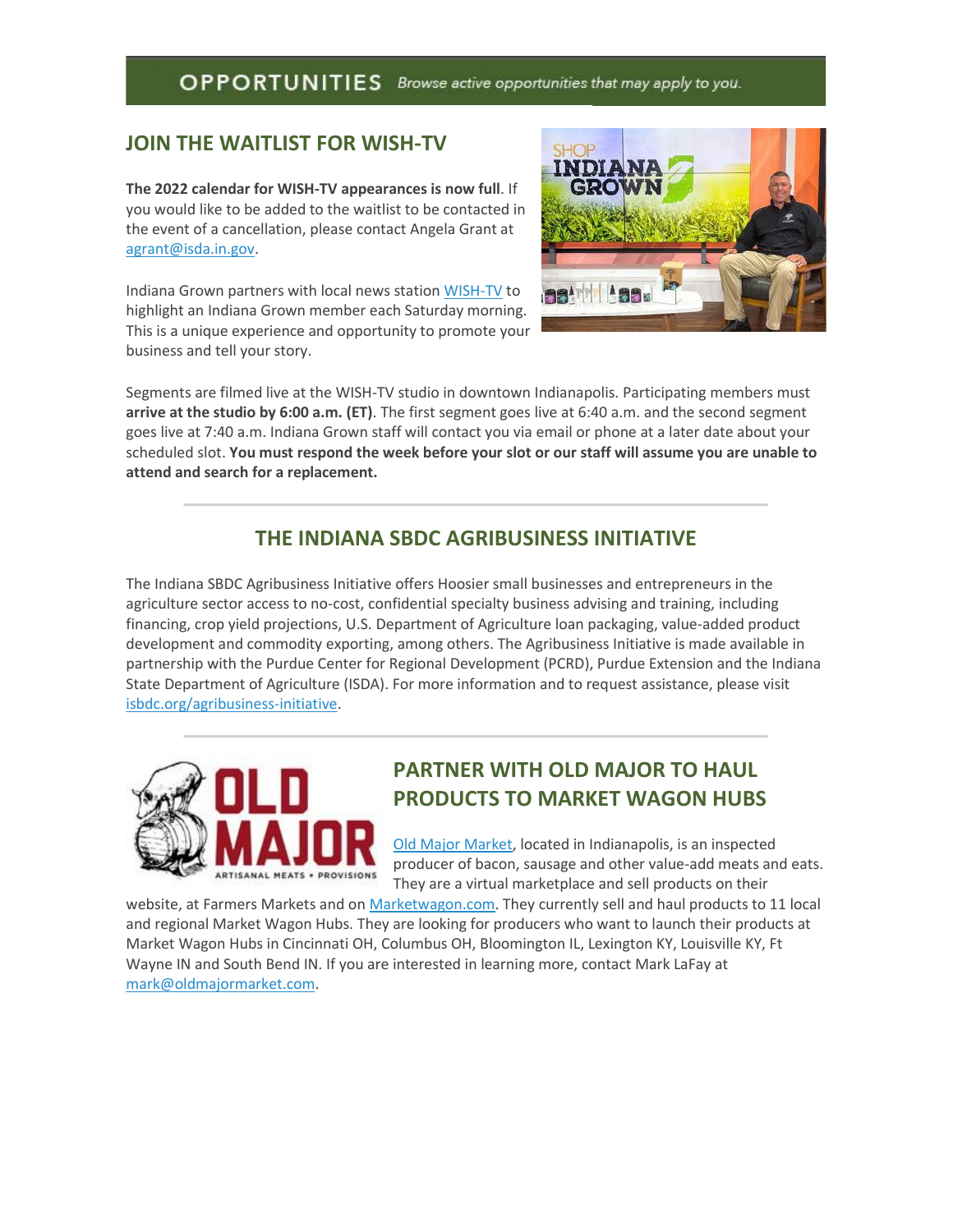### OPPORTUNITIES Browse active opportunities that may apply to you.

### **JOIN THE WAITLIST FOR WISH-TV**

**The 2022 calendar for WISH-TV appearances is now full**. If you would like to be added to the waitlist to be contacted in the event of a cancellation, please contact Angela Grant at [agrant@isda.in.gov.](mailto:agrant@isda.in.gov)

Indiana Grown partners with local news station [WISH-TV](https://lnks.gd/l/eyJhbGciOiJIUzI1NiJ9.eyJidWxsZXRpbl9saW5rX2lkIjoxMDEsInVyaSI6ImJwMjpjbGljayIsImJ1bGxldGluX2lkIjoiMjAyMjA2MTUuNTk0MTIwMjEiLCJ1cmwiOiJodHRwczovL2xua3MuZ2QvbC9leUpoYkdjaU9pSklVekkxTmlKOS5leUppZFd4c1pYUnBibDlzYVc1clgybGtJam94TURRc0luVnlhU0k2SW1Kd01qcGpiR2xqYXlJc0ltSjFiR3hsZEdsdVgybGtJam9pTWpBeU1UQTRNRFl1TkRReU1qSTBOekVpTENKMWNtd2lPaUpvZEhSd2N6b3ZMM2QzZHk1M2FYTm9kSFl1WTI5dEx5SjkuRjBzbDJDVGRVcXBaZW1tcVNMVG1lcmJ2b0hlOEIzYy0zUUptMEh4dzdRQS9zLzE0NzYxODY0OTgvYnIvMTEwNTIwMzc5OTIwLWwifQ.ki35LJpEZjvvEOY_YNYS_uJtTGYqAjGsj4prvW-xzpw/s/1030915350/br/132968478311-l) to highlight an Indiana Grown member each Saturday morning. This is a unique experience and opportunity to promote your business and tell your story.



Segments are filmed live at the WISH-TV studio in downtown Indianapolis. Participating members must **arrive at the studio by 6:00 a.m. (ET)**. The first segment goes live at 6:40 a.m. and the second segment goes live at 7:40 a.m. Indiana Grown staff will contact you via email or phone at a later date about your scheduled slot. **You must respond the week before your slot or our staff will assume you are unable to attend and search for a replacement.**

# **THE INDIANA SBDC AGRIBUSINESS INITIATIVE**

The Indiana SBDC Agribusiness Initiative offers Hoosier small businesses and entrepreneurs in the agriculture sector access to no-cost, confidential specialty business advising and training, including financing, crop yield projections, U.S. Department of Agriculture loan packaging, value-added product development and commodity exporting, among others. The Agribusiness Initiative is made available in partnership with the Purdue Center for Regional Development (PCRD), Purdue Extension and the Indiana State Department of Agriculture (ISDA). For more information and to request assistance, please visit [isbdc.org/agribusiness-initiative.](https://lnks.gd/l/eyJhbGciOiJIUzI1NiJ9.eyJidWxsZXRpbl9saW5rX2lkIjoxMDIsInVyaSI6ImJwMjpjbGljayIsImJ1bGxldGluX2lkIjoiMjAyMjA2MTUuNTk0MTIwMjEiLCJ1cmwiOiJodHRwczovL2lzYmRjLm9yZy9hZ3JpYnVzaW5lc3MtaW5pdGlhdGl2ZS8ifQ.nov08juIfDhkRr9z4rFNM6wM8k7mfodAoBIsVGKM1IM/s/1030915350/br/132968478311-l)



# **PARTNER WITH OLD MAJOR TO HAUL PRODUCTS TO MARKET WAGON HUBS**

[Old Major Market,](https://lnks.gd/l/eyJhbGciOiJIUzI1NiJ9.eyJidWxsZXRpbl9saW5rX2lkIjoxMDMsInVyaSI6ImJwMjpjbGljayIsImJ1bGxldGluX2lkIjoiMjAyMjA2MTUuNTk0MTIwMjEiLCJ1cmwiOiJodHRwczovL29sZG1ham9ybWFya2V0LmNvbS8ifQ.StHs4dgx9KKAg3xZ3mh_eX8G2LBLq_LmaKuf7qqv5i8/s/1030915350/br/132968478311-l) located in Indianapolis, is an inspected producer of bacon, sausage and other value-add meats and eats. They are a virtual marketplace and sell products on their

website, at Farmers Markets and on [Marketwagon.com.](https://lnks.gd/l/eyJhbGciOiJIUzI1NiJ9.eyJidWxsZXRpbl9saW5rX2lkIjoxMDQsInVyaSI6ImJwMjpjbGljayIsImJ1bGxldGluX2lkIjoiMjAyMjA2MTUuNTk0MTIwMjEiLCJ1cmwiOiJodHRwOi8vTWFya2V0d2Fnb24uY29tIn0.W-IU0E8wKnW8JXMp88GXQNf2_TkBM8P2q2-oRRWuNiE/s/1030915350/br/132968478311-l) They currently sell and haul products to 11 local and regional Market Wagon Hubs. They are looking for producers who want to launch their products at Market Wagon Hubs in Cincinnati OH, Columbus OH, Bloomington IL, Lexington KY, Louisville KY, Ft Wayne IN and South Bend IN. If you are interested in learning more, contact Mark LaFay at [mark@oldmajormarket.com.](mailto:mark@oldmajormarket.com)